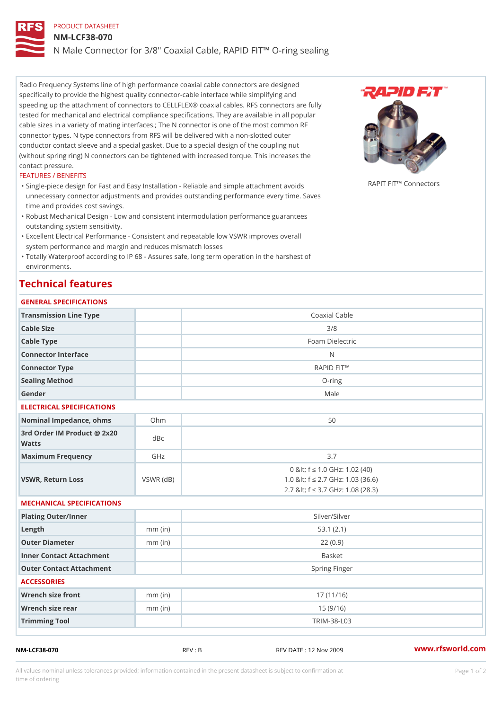## PRODUCT DATASHEET

#### NM-LCF38-070

## N Male Connector for 3/8" Coaxial Cable, RAPID FIT!" O-ring sealing

Radio Frequency Systems line of high performance coaxial cable connectors are designed specifically to provide the highest quality connector-cable interface while simplifying and speeding up the attachment of connectors to CELLFLEX® coaxial cables. RFS connectors are fully tested for mechanical and electrical compliance specifications. They are available in all popular cable sizes in a variety of mating interfaces.; The N connector is one of the most common RF connector types. N type connectors from RFS will be delivered with a non-slotted outer conductor contact sleeve and a special gasket. Due to a special design of the coupling nut (without spring ring) N connectors can be tightened with increased torque. This increases the contact pressure.

#### FEATURES / BENEFITS

"Single-piece design for Fast and Easy Installation - Reliable and simpl<sup>e ARI</sup>Ichh<sup>T</sup>en C A V B # 8 4 3 4 5 6 7 8 unnecessary connector adjustments and provides outstanding performance every time. Saves time and provides cost savings.

- Robust Mechanical Design Low and consistent intermodulation performance guarantees " outstanding system sensitivity.
- Excellent Electrical Performance Consistent and repeatable low VSWR improves overall " system performance and margin and reduces mismatch losses
- Totally Waterproof according to IP 68 Assures safe, long term operation in the harshest of " environments.

## Technical features

## GENERAL SPECIFICATIONS

| GENENAE SFECIFICATIONS                      |                 |                                                                                                               |
|---------------------------------------------|-----------------|---------------------------------------------------------------------------------------------------------------|
| Transmission Line Type                      |                 | Coaxial Cable                                                                                                 |
| Cable Size                                  |                 | 3/8                                                                                                           |
| Cable Type                                  |                 | Foam Dielectric                                                                                               |
| Connector Interface                         |                 | N                                                                                                             |
| Connector Type                              |                 | RAPID FIT!"                                                                                                   |
| Sealing Method                              |                 | $O - r i n g$                                                                                                 |
| Gender                                      |                 | Male                                                                                                          |
| ELECTRICAL SPECIFICATIONS                   |                 |                                                                                                               |
| Nominal Impedance, ohins Ohm                |                 | 50                                                                                                            |
| 3rd Order IM Product @ 2x20<br>dBc<br>Watts |                 |                                                                                                               |
| Maximum Frequency                           | GHz             | 3.7                                                                                                           |
| VSWR, Return Loss                           | $VSWR$ ( $dB$ ) | 0 & It; f "d 1.0 GHz: 1.02 (40)<br>1.0 & It; f "d 2.7 GHz: 1.03 (36.6)<br>2.7 & It; f "d 3.7 GHz: 1.08 (28.3) |
| MECHANICAL SPECIFICATIONS                   |                 |                                                                                                               |
| Plating Outer/Inner                         |                 | Silver/Silver                                                                                                 |
| $L$ ength                                   | $mm$ (in)       | 53.1(2.1)                                                                                                     |
| Outer Diameter                              | $mm$ (in)       | 22(0.9)                                                                                                       |
| Inner Contact Attachment                    |                 | <b>Basket</b>                                                                                                 |
| Outer Contact Attachment                    |                 | Spring Finger                                                                                                 |
| <b>ACCESSORIES</b>                          |                 |                                                                                                               |
| Wrench size front                           | $mm$ (in)       | 17(11/16)                                                                                                     |
| Wrench size rear                            | $mm$ (in)       | 15(9/16)                                                                                                      |
| Trimming Tool                               |                 | $TRIM-38-L03$                                                                                                 |

NM-LCF38-070 REV : B REV DATE : 12 Nov 2009 [www.](https://www.rfsworld.com)rfsworld.com

All values nominal unless tolerances provided; information contained in the present datasheet is subject to Pcapgeign manation time of ordering